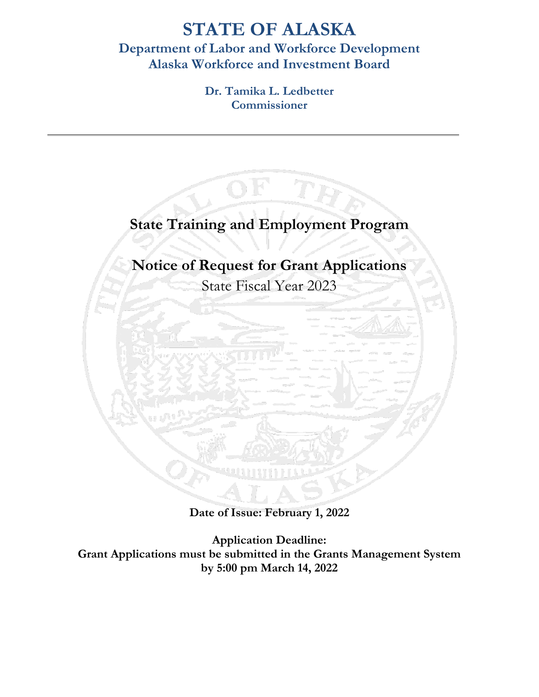# **STATE OF ALASKA**

# **Department of Labor and Workforce Development Alaska Workforce and Investment Board**

**Dr. Tamika L. Ledbetter Commissioner**



**Date of Issue: February 1, 2022**

**Application Deadline: Grant Applications must be submitted in the Grants Management System by 5:00 pm March 14, 2022**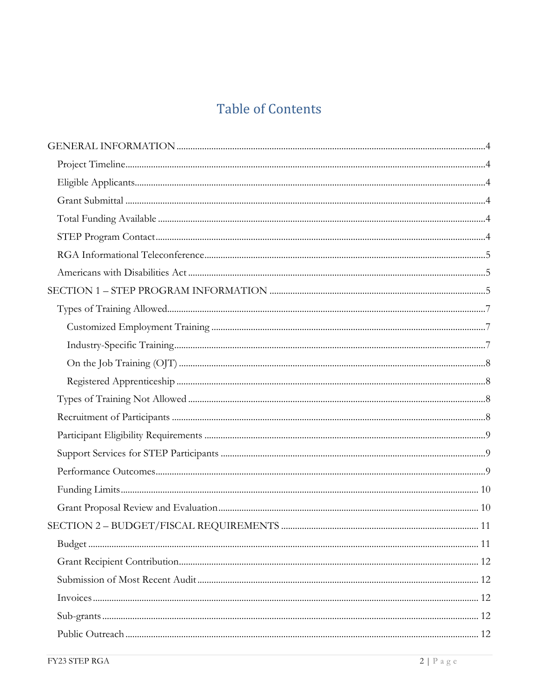# **Table of Contents**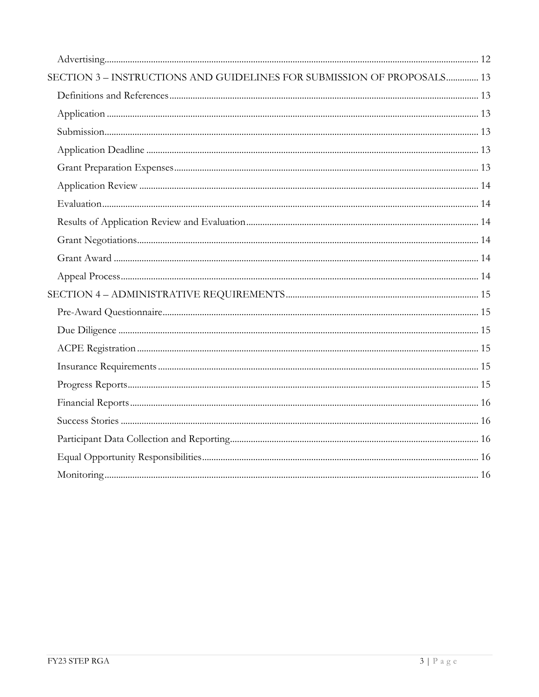| SECTION 3 - INSTRUCTIONS AND GUIDELINES FOR SUBMISSION OF PROPOSALS 13 |  |
|------------------------------------------------------------------------|--|
|                                                                        |  |
|                                                                        |  |
|                                                                        |  |
|                                                                        |  |
|                                                                        |  |
|                                                                        |  |
|                                                                        |  |
|                                                                        |  |
|                                                                        |  |
|                                                                        |  |
|                                                                        |  |
|                                                                        |  |
|                                                                        |  |
|                                                                        |  |
|                                                                        |  |
|                                                                        |  |
|                                                                        |  |
|                                                                        |  |
|                                                                        |  |
|                                                                        |  |
|                                                                        |  |
|                                                                        |  |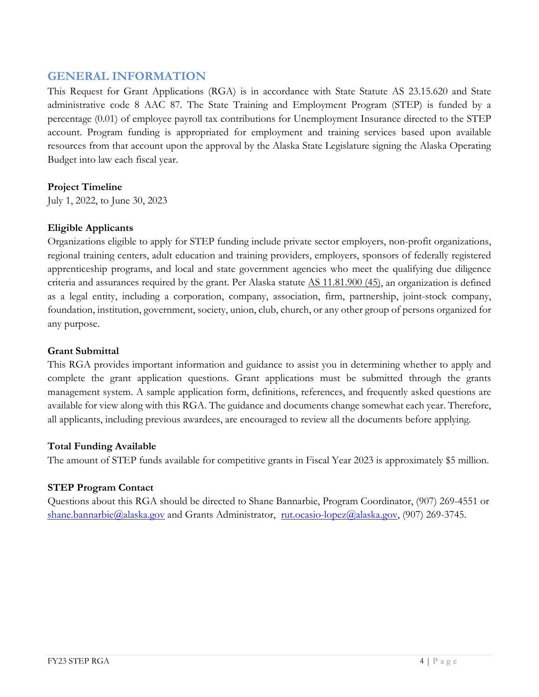# <span id="page-3-0"></span>**GENERAL INFORMATION**

This Request for Grant Applications (RGA) is in accordance with State Statute [AS 23.15.620](https://www.akleg.gov/basis/statutes.asp#23.15.620) and State administrative code [8 AAC 87.](http://www.legis.state.ak.us/basis/aac.asp#8.87) The State Training and Employment Program (STEP) is funded by a percentage (0.01) of employee payroll tax contributions for Unemployment Insurance directed to the STEP account. Program funding is appropriated for employment and training services based upon available resources from that account upon the approval by the Alaska State Legislature signing the Alaska Operating Budget into law each fiscal year.

# <span id="page-3-1"></span>**Project Timeline**

July 1, 2022, to June 30, 2023

# <span id="page-3-2"></span>**Eligible Applicants**

Organizations eligible to apply for STEP funding include private sector employers, non-profit organizations, regional training centers, adult education and training providers, employers, sponsors of federally registered apprenticeship programs, and local and state government agencies who meet the qualifying due diligence criteria and assurances required by the grant. Per Alaska statute [AS 11.81.900 \(45\),](https://www.akleg.gov/basis/statutes.asp#11.81.900) an organization is defined as a legal entity, including a corporation, company, association, firm, partnership, joint-stock company, foundation, institution, government, society, union, club, church, or any other group of persons organized for any purpose.

#### <span id="page-3-3"></span>**Grant Submittal**

This RGA provides important information and guidance to assist you in determining whether to apply and complete the grant application questions. Grant applications must be submitted through the grants management system. A sample application form, definitions, references, and frequently asked questions are available for view along with this RGA. The guidance and documents change somewhat each year. Therefore, all applicants, including previous awardees, are encouraged to review all the documents before applying.

#### <span id="page-3-4"></span>**Total Funding Available**

The amount of STEP funds available for competitive grants in Fiscal Year 2023 is approximately \$5 million.

# <span id="page-3-5"></span>**STEP Program Contact**

Questions about this RGA should be directed to Shane Bannarbie, Program Coordinator, (907) 269-4551 or [shane.bannarbie@alaska.gov](mailto:shane.bannarbie@alaska.gov) and Grants Administrator, [rut.ocasio-lopez@alaska.gov,](mailto:rut.ocasio-lopez@alaska.gov) (907) 269-3745.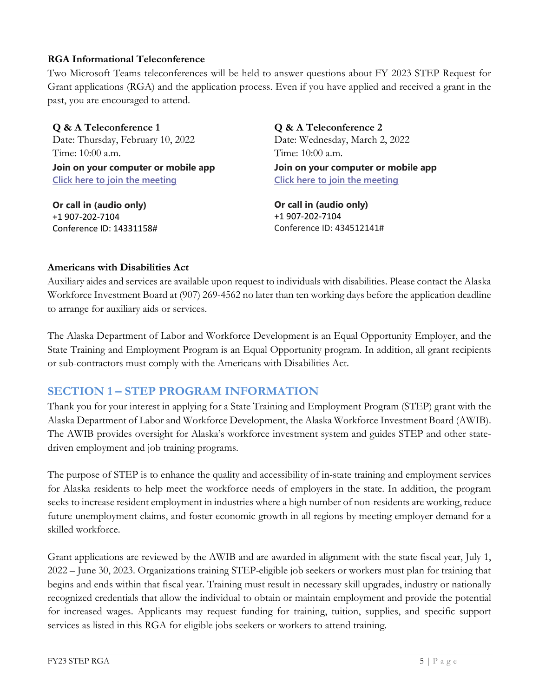## <span id="page-4-0"></span>**RGA Informational Teleconference**

Two Microsoft Teams teleconferences will be held to answer questions about FY 2023 STEP Request for Grant applications (RGA) and the application process. Even if you have applied and received a grant in the past, you are encouraged to attend.

**Q & A Teleconference 1** Date: Thursday, February 10, 2022 Time: 10:00 a.m. **Join on your computer or mobile app**

**[Click here to join the meeting](https://teams.microsoft.com/l/meetup-join/19%3ameeting_ZjVjZWUxODAtMjZjYS00MWQ5LThmYjktNzA4OTkzZTVkODA5%40thread.v2/0?context=%7b%22Tid%22%3a%2220030bf6-7ad9-42f7-9273-59ea83fcfa38%22%2c%22Oid%22%3a%2297c4383a-3716-4914-8224-0a96cd3fcec4%22%7d)**

**Or call in (audio only)** +1 907-202-7104 Conference ID: 14331158# **Q & A Teleconference 2** Date: Wednesday, March 2, 2022 Time: 10:00 a.m. **Join on your computer or mobile app [Click here to join the meeting](https://teams.microsoft.com/l/meetup-join/19%3ameeting_MjliMDg0MzYtN2NmMi00ZjI1LTlkNDctNjk5MTgyZGY3ZjA3%40thread.v2/0?context=%7b%22Tid%22%3a%2220030bf6-7ad9-42f7-9273-59ea83fcfa38%22%2c%22Oid%22%3a%2297c4383a-3716-4914-8224-0a96cd3fcec4%22%7d)**

**Or call in (audio only)** +1 907-202-7104 Conference ID: 434512141#

#### <span id="page-4-1"></span>**Americans with Disabilities Act**

Auxiliary aides and services are available upon request to individuals with disabilities. Please contact the Alaska Workforce Investment Board at (907) 269-4562 no later than ten working days before the application deadline to arrange for auxiliary aids or services.

The Alaska Department of Labor and Workforce Development is an Equal Opportunity Employer, and the State Training and Employment Program is an Equal Opportunity program. In addition, all grant recipients or sub-contractors must comply with the Americans with Disabilities Act.

# <span id="page-4-2"></span>**SECTION 1 – STEP PROGRAM INFORMATION**

Thank you for your interest in applying for a State Training and Employment Program (STEP) grant with the Alaska Department of Labor and Workforce Development, the Alaska Workforce Investment Board (AWIB). The AWIB provides oversight for Alaska's workforce investment system and guides STEP and other statedriven employment and job training programs.

The purpose of STEP is to enhance the quality and accessibility of in-state training and employment services for Alaska residents to help meet the workforce needs of employers in the state. In addition, the program seeks to increase resident employment in industries where a high number of non-residents are working, reduce future unemployment claims, and foster economic growth in all regions by meeting employer demand for a skilled workforce.

Grant applications are reviewed by the AWIB and are awarded in alignment with the state fiscal year, July 1, 2022 – June 30, 2023. Organizations training STEP-eligible job seekers or workers must plan for training that begins and ends within that fiscal year. Training must result in necessary skill upgrades, industry or nationally recognized credentials that allow the individual to obtain or maintain employment and provide the potential for increased wages. Applicants may request funding for training, tuition, supplies, and specific support services as listed in this RGA for eligible jobs seekers or workers to attend training.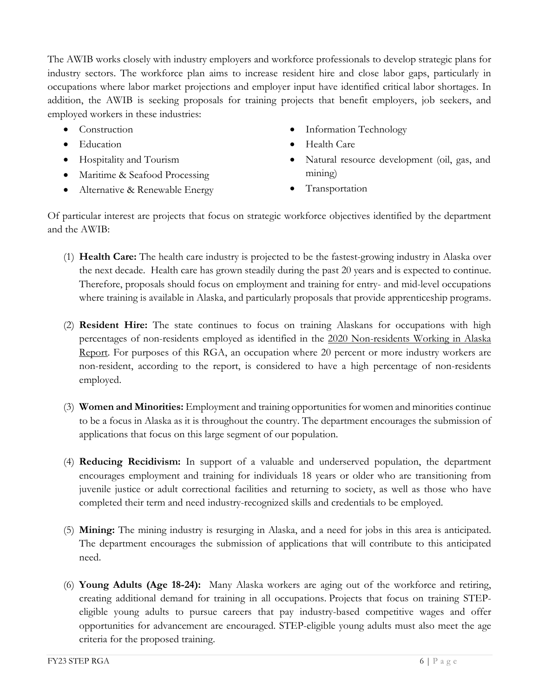The AWIB works closely with industry employers and workforce professionals to develop strategic plans for industry sectors. The workforce plan aims to increase resident hire and close labor gaps, particularly in occupations where labor market projections and employer input have identified critical labor shortages. In addition, the AWIB is seeking proposals for training projects that benefit employers, job seekers, and employed workers in these industries:

- Construction
- Education
- Hospitality and Tourism
- Maritime & Seafood Processing
- Alternative & Renewable Energy
- Information Technology
- Health Care
- Natural resource development (oil, gas, and mining)
- **Transportation**

Of particular interest are projects that focus on strategic workforce objectives identified by the department and the AWIB:

- (1) **Health Care:** The health care industry is projected to be the fastest-growing industry in Alaska over the next decade. Health care has grown steadily during the past 20 years and is expected to continue. Therefore, proposals should focus on employment and training for entry- and mid-level occupations where training is available in Alaska, and particularly proposals that provide apprenticeship programs.
- (2) **Resident Hire:** The state continues to focus on training Alaskans for occupations with high percentages of non-residents employed as identified in the 2020 [Non-residents Working in Alaska](http://live.laborstats.alaska.gov/reshire/nonres.pdf)  [Report.](http://live.laborstats.alaska.gov/reshire/nonres.pdf) For purposes of this RGA, an occupation where 20 percent or more industry workers are non-resident, according to the report, is considered to have a high percentage of non-residents employed.
- (3) **Women and Minorities:** Employment and training opportunities for women and minorities continue to be a focus in Alaska as it is throughout the country. The department encourages the submission of applications that focus on this large segment of our population.
- (4) **Reducing Recidivism:** In support of a valuable and underserved population, the department encourages employment and training for individuals 18 years or older who are transitioning from juvenile justice or adult correctional facilities and returning to society, as well as those who have completed their term and need industry-recognized skills and credentials to be employed.
- (5) **Mining:** The mining industry is resurging in Alaska, and a need for jobs in this area is anticipated. The department encourages the submission of applications that will contribute to this anticipated need.
- (6) **Young Adults (Age 18-24):** Many Alaska workers are aging out of the workforce and retiring, creating additional demand for training in all occupations. Projects that focus on training STEPeligible young adults to pursue careers that pay industry-based competitive wages and offer opportunities for advancement are encouraged. STEP-eligible young adults must also meet the age criteria for the proposed training.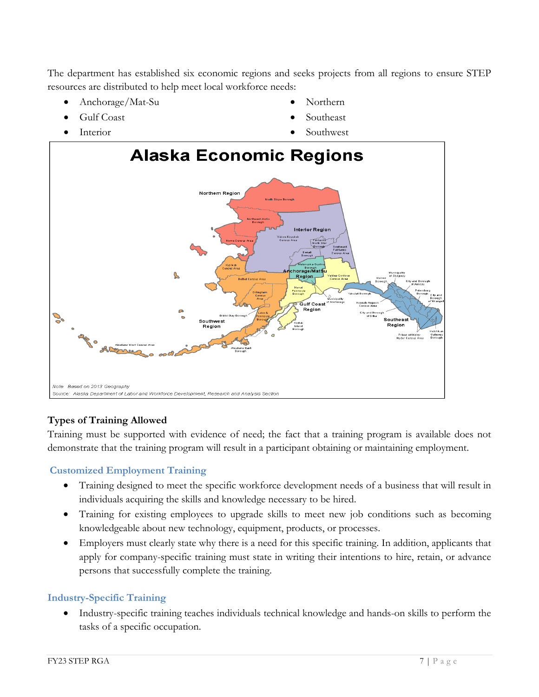The department has established six economic regions and seeks projects from all regions to ensure STEP resources are distributed to help meet local workforce needs:

- Anchorage/Mat-Su
- Gulf Coast
- **Interior**
- Northern
- Southeast
- Southwest



# <span id="page-6-0"></span>**Types of Training Allowed**

Training must be supported with evidence of need; the fact that a training program is available does not demonstrate that the training program will result in a participant obtaining or maintaining employment.

# <span id="page-6-1"></span>**Customized Employment Training**

- Training designed to meet the specific workforce development needs of a business that will result in individuals acquiring the skills and knowledge necessary to be hired.
- Training for existing employees to upgrade skills to meet new job conditions such as becoming knowledgeable about new technology, equipment, products, or processes.
- Employers must clearly state why there is a need for this specific training. In addition, applicants that apply for company-specific training must state in writing their intentions to hire, retain, or advance persons that successfully complete the training.

# <span id="page-6-2"></span>**Industry-Specific Training**

• Industry-specific training teaches individuals technical knowledge and hands-on skills to perform the tasks of a specific occupation.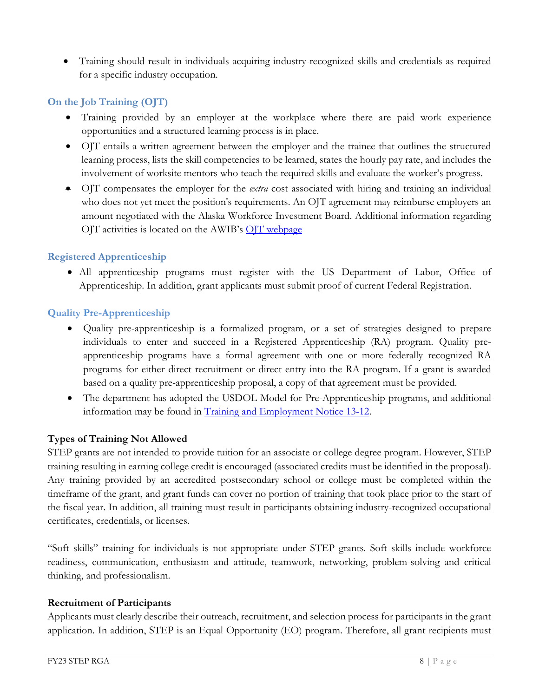• Training should result in individuals acquiring industry-recognized skills and credentials as required for a specific industry occupation.

# <span id="page-7-0"></span>**On the Job Training (OJT)**

- Training provided by an employer at the workplace where there are paid work experience opportunities and a structured learning process is in place.
- OJT entails a written agreement between the employer and the trainee that outlines the structured learning process, lists the skill competencies to be learned, states the hourly pay rate, and includes the involvement of worksite mentors who teach the required skills and evaluate the worker's progress.
- OJT compensates the employer for the *extra* cost associated with hiring and training an individual who does not yet meet the position's requirements. An OJT agreement may reimburse employers an amount negotiated with the Alaska Workforce Investment Board. Additional information regarding OJT activities is located on the AWIB's [OJT webpage](http://www.jobs.state.ak.us/forms/OjtIntro-employer.html)

# <span id="page-7-1"></span>**Registered Apprenticeship**

• All apprenticeship programs must register with the US Department of Labor, Office of Apprenticeship. In addition, grant applicants must submit proof of current Federal Registration.

# **Quality Pre-Apprenticeship**

- Quality pre-apprenticeship is a formalized program, or a set of strategies designed to prepare individuals to enter and succeed in a Registered Apprenticeship (RA) program. Quality preapprenticeship programs have a formal agreement with one or more federally recognized RA programs for either direct recruitment or direct entry into the RA program. If a grant is awarded based on a quality pre-apprenticeship proposal, a copy of that agreement must be provided.
- The department has adopted the USDOL Model for Pre-Apprenticeship programs, and additional information may be found in [Training and Employment Notice 13-12.](https://wdr.doleta.gov/directives/corr_doc.cfm?DOCN=5842)

# <span id="page-7-2"></span>**Types of Training Not Allowed**

STEP grants are not intended to provide tuition for an associate or college degree program. However, STEP training resulting in earning college credit is encouraged (associated credits must be identified in the proposal). Any training provided by an accredited postsecondary school or college must be completed within the timeframe of the grant, and grant funds can cover no portion of training that took place prior to the start of the fiscal year. In addition, all training must result in participants obtaining industry-recognized occupational certificates, credentials, or licenses.

"Soft skills" training for individuals is not appropriate under STEP grants. Soft skills include workforce readiness, communication, enthusiasm and attitude, teamwork, networking, problem-solving and critical thinking, and professionalism.

# <span id="page-7-3"></span>**Recruitment of Participants**

Applicants must clearly describe their outreach, recruitment, and selection process for participants in the grant application. In addition, STEP is an Equal Opportunity (EO) program. Therefore, all grant recipients must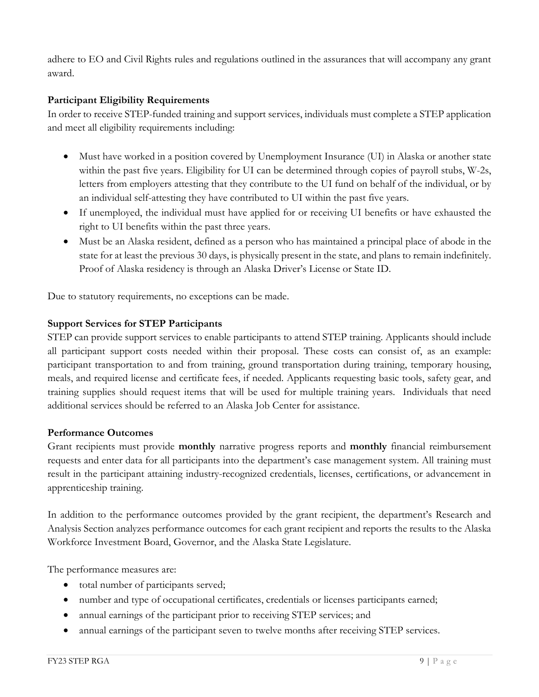adhere to EO and Civil Rights rules and regulations outlined in the assurances that will accompany any grant award.

#### <span id="page-8-0"></span>**Participant Eligibility Requirements**

In order to receive STEP-funded training and support services, individuals must complete a STEP application and meet all eligibility requirements including:

- Must have worked in a position covered by Unemployment Insurance (UI) in Alaska or another state within the past five years. Eligibility for UI can be determined through copies of payroll stubs, W-2s, letters from employers attesting that they contribute to the UI fund on behalf of the individual, or by an individual self-attesting they have contributed to UI within the past five years.
- If unemployed, the individual must have applied for or receiving UI benefits or have exhausted the right to UI benefits within the past three years.
- Must be an Alaska resident, defined as a person who has maintained a principal place of abode in the state for at least the previous 30 days, is physically present in the state, and plans to remain indefinitely. Proof of Alaska residency is through an Alaska Driver's License or State ID.

Due to statutory requirements, no exceptions can be made.

#### <span id="page-8-1"></span>**Support Services for STEP Participants**

STEP can provide support services to enable participants to attend STEP training. Applicants should include all participant support costs needed within their proposal. These costs can consist of, as an example: participant transportation to and from training, ground transportation during training, temporary housing, meals, and required license and certificate fees, if needed. Applicants requesting basic tools, safety gear, and training supplies should request items that will be used for multiple training years. Individuals that need additional services should be referred to an Alaska Job Center for assistance.

#### <span id="page-8-2"></span>**Performance Outcomes**

Grant recipients must provide **monthly** narrative progress reports and **monthly** financial reimbursement requests and enter data for all participants into the department's case management system. All training must result in the participant attaining industry-recognized credentials, licenses, certifications, or advancement in apprenticeship training.

In addition to the performance outcomes provided by the grant recipient, the department's Research and Analysis Section analyzes performance outcomes for each grant recipient and reports the results to the Alaska Workforce Investment Board, Governor, and the Alaska State Legislature.

The performance measures are:

- total number of participants served;
- number and type of occupational certificates, credentials or licenses participants earned;
- annual earnings of the participant prior to receiving STEP services; and
- annual earnings of the participant seven to twelve months after receiving STEP services.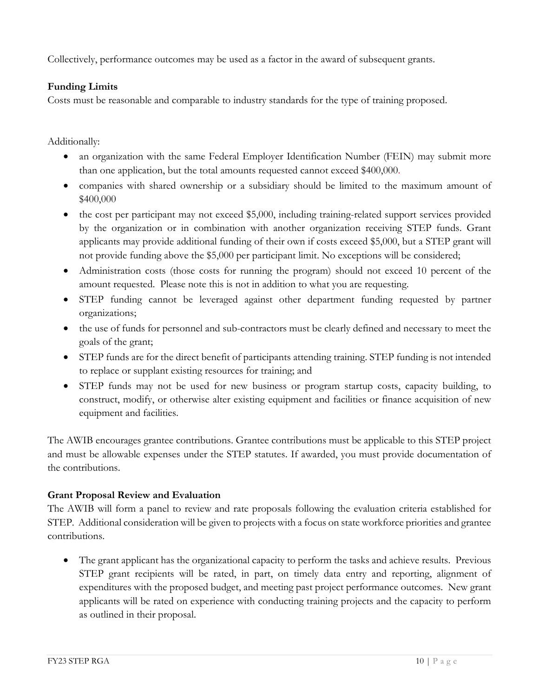Collectively, performance outcomes may be used as a factor in the award of subsequent grants.

# <span id="page-9-0"></span>**Funding Limits**

Costs must be reasonable and comparable to industry standards for the type of training proposed.

Additionally:

- an organization with the same Federal Employer Identification Number (FEIN) may submit more than one application, but the total amounts requested cannot exceed \$400,000.
- companies with shared ownership or a subsidiary should be limited to the maximum amount of \$400,000
- the cost per participant may not exceed \$5,000, including training-related support services provided by the organization or in combination with another organization receiving STEP funds. Grant applicants may provide additional funding of their own if costs exceed \$5,000, but a STEP grant will not provide funding above the \$5,000 per participant limit. No exceptions will be considered;
- Administration costs (those costs for running the program) should not exceed 10 percent of the amount requested. Please note this is not in addition to what you are requesting.
- STEP funding cannot be leveraged against other department funding requested by partner organizations;
- the use of funds for personnel and sub-contractors must be clearly defined and necessary to meet the goals of the grant;
- STEP funds are for the direct benefit of participants attending training. STEP funding is not intended to replace or supplant existing resources for training; and
- STEP funds may not be used for new business or program startup costs, capacity building, to construct, modify, or otherwise alter existing equipment and facilities or finance acquisition of new equipment and facilities.

The AWIB encourages grantee contributions. Grantee contributions must be applicable to this STEP project and must be allowable expenses under the STEP statutes. If awarded, you must provide documentation of the contributions.

# <span id="page-9-1"></span>**Grant Proposal Review and Evaluation**

The AWIB will form a panel to review and rate proposals following the evaluation criteria established for STEP. Additional consideration will be given to projects with a focus on state workforce priorities and grantee contributions.

• The grant applicant has the organizational capacity to perform the tasks and achieve results. Previous STEP grant recipients will be rated, in part, on timely data entry and reporting, alignment of expenditures with the proposed budget, and meeting past project performance outcomes. New grant applicants will be rated on experience with conducting training projects and the capacity to perform as outlined in their proposal.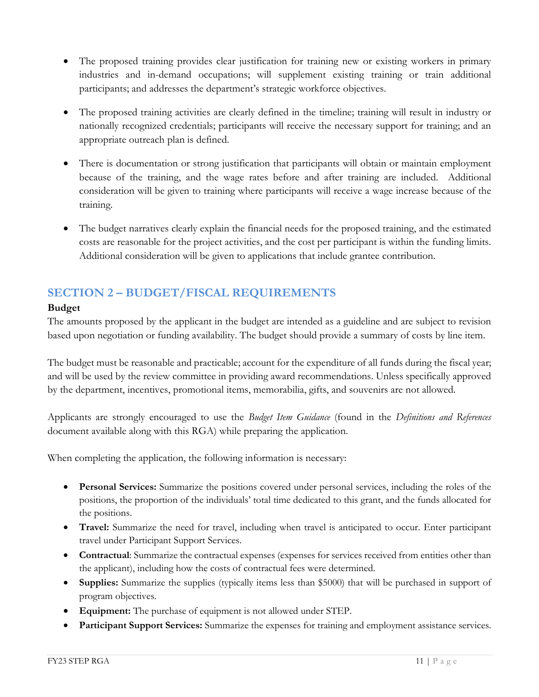- The proposed training provides clear justification for training new or existing workers in primary industries and in-demand occupations; will supplement existing training or train additional participants; and addresses the department's strategic workforce objectives.
- The proposed training activities are clearly defined in the timeline; training will result in industry or nationally recognized credentials; participants will receive the necessary support for training; and an appropriate outreach plan is defined.
- There is documentation or strong justification that participants will obtain or maintain employment because of the training, and the wage rates before and after training are included. Additional consideration will be given to training where participants will receive a wage increase because of the training.
- The budget narratives clearly explain the financial needs for the proposed training, and the estimated costs are reasonable for the project activities, and the cost per participant is within the funding limits. Additional consideration will be given to applications that include grantee contribution.

# <span id="page-10-0"></span>**SECTION 2 – BUDGET/FISCAL REQUIREMENTS**

# <span id="page-10-1"></span>**Budget**

The amounts proposed by the applicant in the budget are intended as a guideline and are subject to revision based upon negotiation or funding availability. The budget should provide a summary of costs by line item.

The budget must be reasonable and practicable; account for the expenditure of all funds during the fiscal year; and will be used by the review committee in providing award recommendations. Unless specifically approved by the department, incentives, promotional items, memorabilia, gifts, and souvenirs are not allowed.

Applicants are strongly encouraged to use the *Budget Item Guidance* (found in the *Definitions and References* document available along with this RGA) while preparing the application.

When completing the application, the following information is necessary:

- **Personal Services:** Summarize the positions covered under personal services, including the roles of the positions, the proportion of the individuals' total time dedicated to this grant, and the funds allocated for the positions.
- **Travel:** Summarize the need for travel, including when travel is anticipated to occur. Enter participant travel under Participant Support Services.
- **Contractual**: Summarize the contractual expenses (expenses for services received from entities other than the applicant), including how the costs of contractual fees were determined.
- **Supplies:** Summarize the supplies (typically items less than \$5000) that will be purchased in support of program objectives.
- **Equipment:** The purchase of equipment is not allowed under STEP.
- **Participant Support Services:** Summarize the expenses for training and employment assistance services.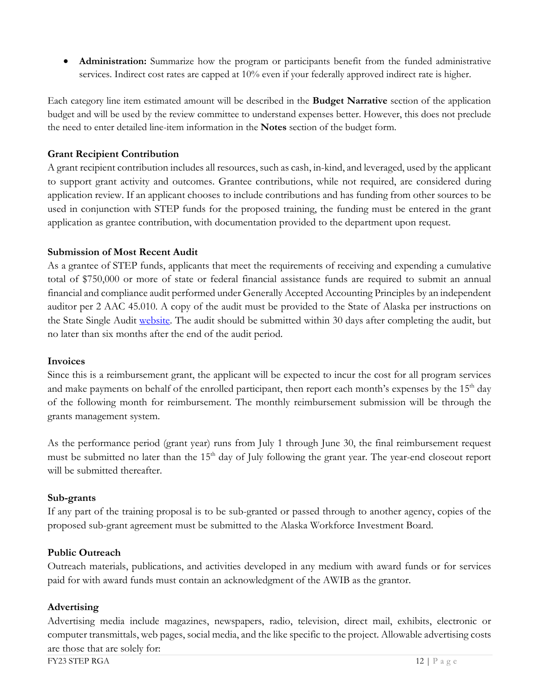• **Administration:** Summarize how the program or participants benefit from the funded administrative services. Indirect cost rates are capped at 10% even if your federally approved indirect rate is higher.

Each category line item estimated amount will be described in the **Budget Narrative** section of the application budget and will be used by the review committee to understand expenses better. However, this does not preclude the need to enter detailed line-item information in the **Notes** section of the budget form.

## <span id="page-11-0"></span>**Grant Recipient Contribution**

A grant recipient contribution includes all resources, such as cash, in-kind, and leveraged, used by the applicant to support grant activity and outcomes. Grantee contributions, while not required, are considered during application review. If an applicant chooses to include contributions and has funding from other sources to be used in conjunction with STEP funds for the proposed training, the funding must be entered in the grant application as grantee contribution, with documentation provided to the department upon request.

#### <span id="page-11-1"></span>**Submission of Most Recent Audit**

As a grantee of STEP funds, applicants that meet the requirements of receiving and expending a cumulative total of \$750,000 or more of state or federal financial assistance funds are required to submit an annual financial and compliance audit performed under Generally Accepted Accounting Principles by an independent auditor per 2 AAC 45.010. A copy of the audit must be provided to the State of Alaska per instructions on the State Single Audit [website.](http://doa.alaska.gov/dof/ssa/otherinfo.html) The audit should be submitted within 30 days after completing the audit, but no later than six months after the end of the audit period.

#### <span id="page-11-2"></span>**Invoices**

Since this is a reimbursement grant, the applicant will be expected to incur the cost for all program services and make payments on behalf of the enrolled participant, then report each month's expenses by the  $15<sup>th</sup>$  day of the following month for reimbursement. The monthly reimbursement submission will be through the grants management system.

As the performance period (grant year) runs from July 1 through June 30, the final reimbursement request must be submitted no later than the 15<sup>th</sup> day of July following the grant year. The year-end closeout report will be submitted thereafter.

#### <span id="page-11-3"></span>**Sub-grants**

If any part of the training proposal is to be sub-granted or passed through to another agency, copies of the proposed sub-grant agreement must be submitted to the Alaska Workforce Investment Board.

# <span id="page-11-4"></span>**Public Outreach**

Outreach materials, publications, and activities developed in any medium with award funds or for services paid for with award funds must contain an acknowledgment of the AWIB as the grantor.

# <span id="page-11-5"></span>**Advertising**

Advertising media include magazines, newspapers, radio, television, direct mail, exhibits, electronic or computer transmittals, web pages, social media, and the like specific to the project. Allowable advertising costs are those that are solely for: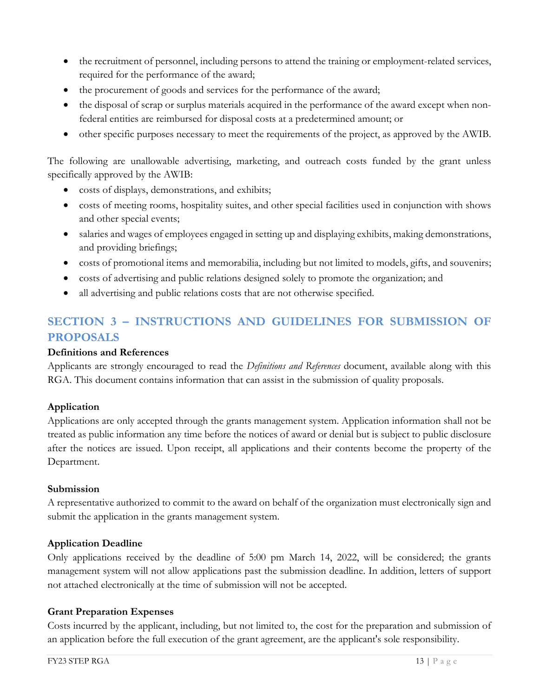- the recruitment of personnel, including persons to attend the training or employment-related services, required for the performance of the award;
- the procurement of goods and services for the performance of the award;
- the disposal of scrap or surplus materials acquired in the performance of the award except when nonfederal entities are reimbursed for disposal costs at a predetermined amount; or
- other specific purposes necessary to meet the requirements of the project, as approved by the AWIB.

The following are unallowable advertising, marketing, and outreach costs funded by the grant unless specifically approved by the AWIB:

- costs of displays, demonstrations, and exhibits;
- costs of meeting rooms, hospitality suites, and other special facilities used in conjunction with shows and other special events;
- salaries and wages of employees engaged in setting up and displaying exhibits, making demonstrations, and providing briefings;
- costs of promotional items and memorabilia, including but not limited to models, gifts, and souvenirs;
- costs of advertising and public relations designed solely to promote the organization; and
- all advertising and public relations costs that are not otherwise specified.

# <span id="page-12-0"></span>**SECTION 3 – INSTRUCTIONS AND GUIDELINES FOR SUBMISSION OF PROPOSALS**

#### <span id="page-12-1"></span>**Definitions and References**

Applicants are strongly encouraged to read the *Definitions and References* document, available along with this RGA. This document contains information that can assist in the submission of quality proposals.

# <span id="page-12-2"></span>**Application**

Applications are only accepted through the grants management system. Application information shall not be treated as public information any time before the notices of award or denial but is subject to public disclosure after the notices are issued. Upon receipt, all applications and their contents become the property of the Department.

#### <span id="page-12-3"></span>**Submission**

A representative authorized to commit to the award on behalf of the organization must electronically sign and submit the application in the grants management system.

#### <span id="page-12-4"></span>**Application Deadline**

Only applications received by the deadline of 5:00 pm March 14, 2022, will be considered; the grants management system will not allow applications past the submission deadline. In addition, letters of support not attached electronically at the time of submission will not be accepted.

#### <span id="page-12-5"></span>**Grant Preparation Expenses**

Costs incurred by the applicant, including, but not limited to, the cost for the preparation and submission of an application before the full execution of the grant agreement, are the applicant's sole responsibility.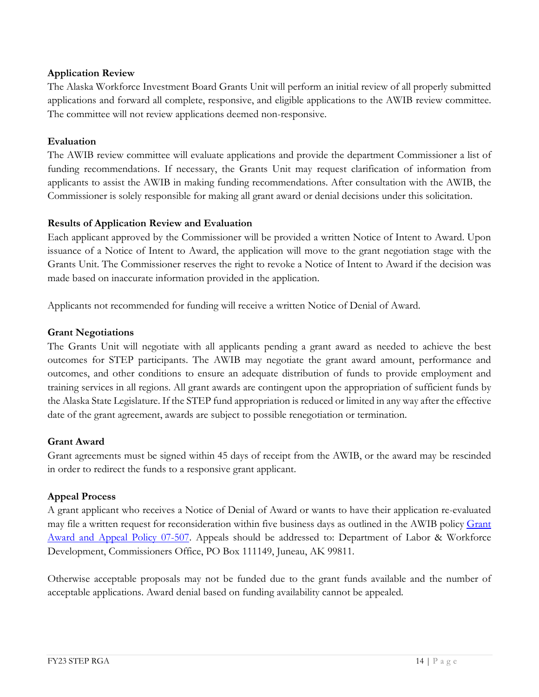# <span id="page-13-0"></span>**Application Review**

The Alaska Workforce Investment Board Grants Unit will perform an initial review of all properly submitted applications and forward all complete, responsive, and eligible applications to the AWIB review committee. The committee will not review applications deemed non-responsive.

#### <span id="page-13-1"></span>**Evaluation**

The AWIB review committee will evaluate applications and provide the department Commissioner a list of funding recommendations. If necessary, the Grants Unit may request clarification of information from applicants to assist the AWIB in making funding recommendations. After consultation with the AWIB, the Commissioner is solely responsible for making all grant award or denial decisions under this solicitation.

#### <span id="page-13-2"></span>**Results of Application Review and Evaluation**

Each applicant approved by the Commissioner will be provided a written Notice of Intent to Award. Upon issuance of a Notice of Intent to Award, the application will move to the grant negotiation stage with the Grants Unit. The Commissioner reserves the right to revoke a Notice of Intent to Award if the decision was made based on inaccurate information provided in the application.

Applicants not recommended for funding will receive a written Notice of Denial of Award.

#### <span id="page-13-3"></span>**Grant Negotiations**

The Grants Unit will negotiate with all applicants pending a grant award as needed to achieve the best outcomes for STEP participants. The AWIB may negotiate the grant award amount, performance and outcomes, and other conditions to ensure an adequate distribution of funds to provide employment and training services in all regions. All grant awards are contingent upon the appropriation of sufficient funds by the Alaska State Legislature. If the STEP fund appropriation is reduced or limited in any way after the effective date of the grant agreement, awards are subject to possible renegotiation or termination.

#### <span id="page-13-4"></span>**Grant Award**

Grant agreements must be signed within 45 days of receipt from the AWIB, or the award may be rescinded in order to redirect the funds to a responsive grant applicant.

#### <span id="page-13-5"></span>**Appeal Process**

A grant applicant who receives a Notice of Denial of Award or wants to have their application re-evaluated may file a written request for reconsideration within five business days as outlined in the AWIB policy Grant [Award and Appeal Policy 07-507.](http://labor.alaska.gov/bp/forms/010_07-507.pdf) Appeals should be addressed to: Department of Labor & Workforce Development, Commissioners Office, PO Box 111149, Juneau, AK 99811.

Otherwise acceptable proposals may not be funded due to the grant funds available and the number of acceptable applications. Award denial based on funding availability cannot be appealed.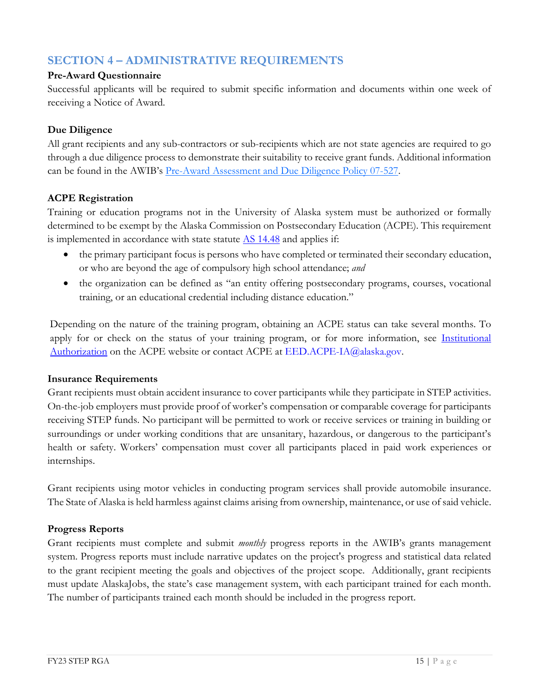# <span id="page-14-0"></span>**SECTION 4 – ADMINISTRATIVE REQUIREMENTS**

# <span id="page-14-1"></span>**Pre-Award Questionnaire**

Successful applicants will be required to submit specific information and documents within one week of receiving a Notice of Award.

# <span id="page-14-2"></span>**Due Diligence**

All grant recipients and any sub-contractors or sub-recipients which are not state agencies are required to go through a due diligence process to demonstrate their suitability to receive grant funds. Additional information can be found in the AWIB's Pre-Award [Assessment and Due Diligence Policy 07-527.](https://labor.alaska.gov/dets/policies/07-527.pdf)

# <span id="page-14-3"></span>**ACPE Registration**

Training or education programs not in the University of Alaska system must be authorized or formally determined to be exempt by the Alaska Commission on Postsecondary Education (ACPE). This requirement is implemented in accordance with state statute  $\Delta S$  14.48 and applies if:

- the primary participant focus is persons who have completed or terminated their secondary education, or who are beyond the age of compulsory high school attendance; *and*
- the organization can be defined as "an entity offering postsecondary programs, courses, vocational training, or an educational credential including distance education."

Depending on the nature of the training program, obtaining an ACPE status can take several months. To apply for or check on the status of your training program, or for more information, see Institutional [Authorization](https://acpe.alaska.gov/Institutional-Authorization) on the ACPE website or contact ACPE at [EED.ACPE-IA@alaska.gov.](mailto:EED.ACPE-IA@alaska.gov)

#### <span id="page-14-4"></span>**Insurance Requirements**

Grant recipients must obtain accident insurance to cover participants while they participate in STEP activities. On-the-job employers must provide proof of worker's compensation or comparable coverage for participants receiving STEP funds. No participant will be permitted to work or receive services or training in building or surroundings or under working conditions that are unsanitary, hazardous, or dangerous to the participant's health or safety. Workers' compensation must cover all participants placed in paid work experiences or internships.

Grant recipients using motor vehicles in conducting program services shall provide automobile insurance. The State of Alaska is held harmless against claims arising from ownership, maintenance, or use of said vehicle.

# <span id="page-14-5"></span>**Progress Reports**

Grant recipients must complete and submit *monthly* progress reports in the AWIB's grants management system. Progress reports must include narrative updates on the project's progress and statistical data related to the grant recipient meeting the goals and objectives of the project scope. Additionally, grant recipients must update AlaskaJobs, the state's case management system, with each participant trained for each month. The number of participants trained each month should be included in the progress report.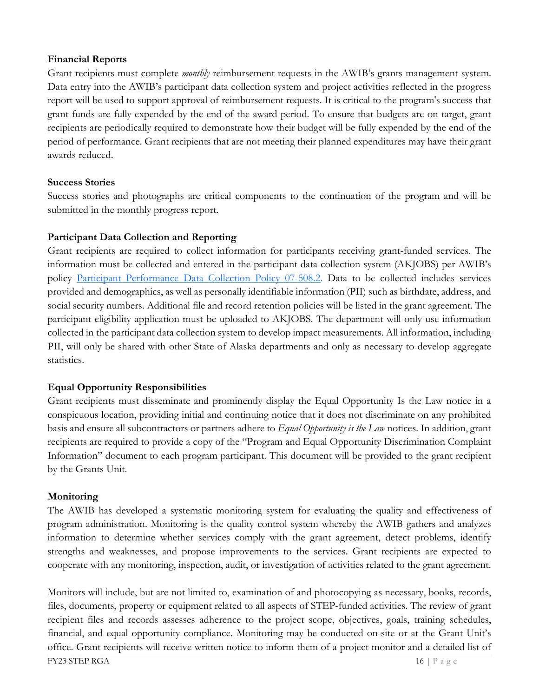## <span id="page-15-0"></span>**Financial Reports**

Grant recipients must complete *monthly* reimbursement requests in the AWIB's grants management system. Data entry into the AWIB's participant data collection system and project activities reflected in the progress report will be used to support approval of reimbursement requests. It is critical to the program's success that grant funds are fully expended by the end of the award period. To ensure that budgets are on target, grant recipients are periodically required to demonstrate how their budget will be fully expended by the end of the period of performance. Grant recipients that are not meeting their planned expenditures may have their grant awards reduced.

# <span id="page-15-1"></span>**Success Stories**

Success stories and photographs are critical components to the continuation of the program and will be submitted in the monthly progress report.

# <span id="page-15-2"></span>**Participant Data Collection and Reporting**

Grant recipients are required to collect information for participants receiving grant-funded services. The information must be collected and entered in the participant data collection system (AKJOBS) per AWIB's policy [Participant Performance Data Collection](http://labor.alaska.gov/bp/forms/016_07-508.pdf) Policy 07-508.2. Data to be collected includes services provided and demographics, as well as personally identifiable information (PII) such as birthdate, address, and social security numbers. Additional file and record retention policies will be listed in the grant agreement. The participant eligibility application must be uploaded to AKJOBS. The department will only use information collected in the participant data collection system to develop impact measurements. All information, including PII, will only be shared with other State of Alaska departments and only as necessary to develop aggregate statistics.

# <span id="page-15-3"></span>**Equal Opportunity Responsibilities**

Grant recipients must disseminate and prominently display the Equal Opportunity Is the Law notice in a conspicuous location, providing initial and continuing notice that it does not discriminate on any prohibited basis and ensure all subcontractors or partners adhere to *Equal Opportunity is the Law* notices. In addition, grant recipients are required to provide a copy of the "Program and Equal Opportunity Discrimination Complaint Information" document to each program participant. This document will be provided to the grant recipient by the Grants Unit.

# <span id="page-15-4"></span>**Monitoring**

The AWIB has developed a systematic monitoring system for evaluating the quality and effectiveness of program administration. Monitoring is the quality control system whereby the AWIB gathers and analyzes information to determine whether services comply with the grant agreement, detect problems, identify strengths and weaknesses, and propose improvements to the services. Grant recipients are expected to cooperate with any monitoring, inspection, audit, or investigation of activities related to the grant agreement.

Monitors will include, but are not limited to, examination of and photocopying as necessary, books, records, files, documents, property or equipment related to all aspects of STEP-funded activities. The review of grant recipient files and records assesses adherence to the project scope, objectives, goals, training schedules, financial, and equal opportunity compliance. Monitoring may be conducted on-site or at the Grant Unit's office. Grant recipients will receive written notice to inform them of a project monitor and a detailed list of